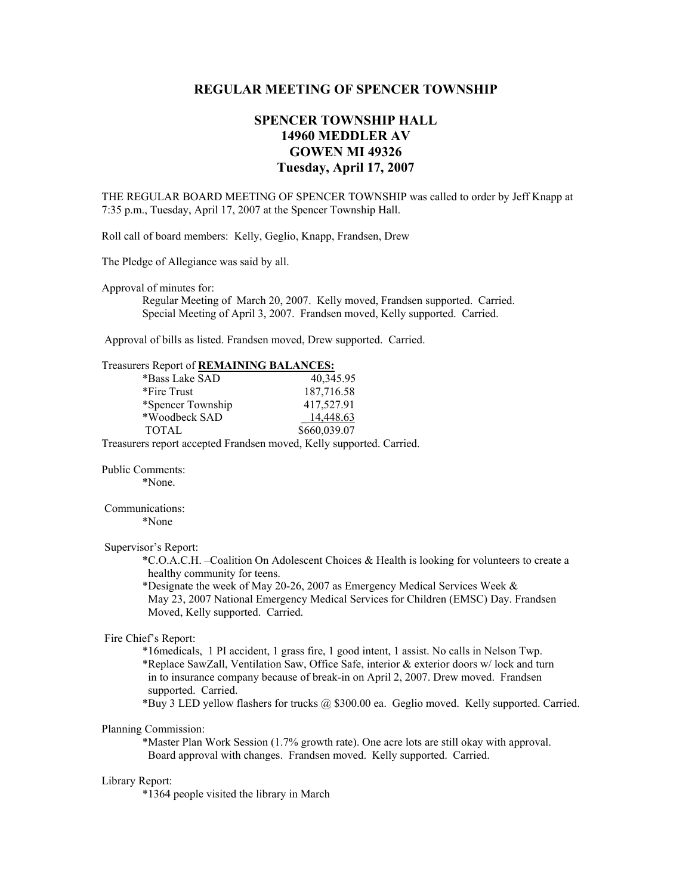## **REGULAR MEETING OF SPENCER TOWNSHIP**

# **SPENCER TOWNSHIP HALL 14960 MEDDLER AV GOWEN MI 49326 Tuesday, April 17, 2007**

THE REGULAR BOARD MEETING OF SPENCER TOWNSHIP was called to order by Jeff Knapp at 7:35 p.m., Tuesday, April 17, 2007 at the Spencer Township Hall.

Roll call of board members: Kelly, Geglio, Knapp, Frandsen, Drew

The Pledge of Allegiance was said by all.

Approval of minutes for:

 Regular Meeting of March 20, 2007. Kelly moved, Frandsen supported. Carried. Special Meeting of April 3, 2007. Frandsen moved, Kelly supported. Carried.

Approval of bills as listed. Frandsen moved, Drew supported. Carried.

| Treasurers Report of REMAINING BALANCES:                             |                                                                                                                                                                                 |
|----------------------------------------------------------------------|---------------------------------------------------------------------------------------------------------------------------------------------------------------------------------|
| *Bass Lake SAD                                                       | 40,345.95                                                                                                                                                                       |
| *Fire Trust                                                          | 187,716.58                                                                                                                                                                      |
| *Spencer Township                                                    | 417,527.91                                                                                                                                                                      |
| *Woodbeck SAD                                                        | 14,448.63                                                                                                                                                                       |
| <b>TOTAL</b>                                                         | \$660,039.07                                                                                                                                                                    |
| Treasurers report accepted Frandsen moved, Kelly supported. Carried. |                                                                                                                                                                                 |
| <b>Public Comments:</b>                                              |                                                                                                                                                                                 |
| *None.                                                               |                                                                                                                                                                                 |
| Communications:                                                      |                                                                                                                                                                                 |
| *None                                                                |                                                                                                                                                                                 |
| Supervisor's Report:                                                 |                                                                                                                                                                                 |
| healthy community for teens.                                         | *C.O.A.C.H. - Coalition On Adolescent Choices & Health is looking for volunteers to create a                                                                                    |
|                                                                      | *Designate the week of May 20-26, 2007 as Emergency Medical Services Week &                                                                                                     |
|                                                                      | May 23, 2007 National Emergency Medical Services for Children (EMSC) Day. Frandsen                                                                                              |
| Moved, Kelly supported. Carried.                                     |                                                                                                                                                                                 |
| Fire Chief's Report:                                                 |                                                                                                                                                                                 |
|                                                                      | *16 medicals, 1 PI accident, 1 grass fire, 1 good intent, 1 assist. No calls in Nelson Twp.                                                                                     |
| supported. Carried.                                                  | *Replace SawZall, Ventilation Saw, Office Safe, interior & exterior doors w/lock and turn<br>in to insurance company because of break-in on April 2, 2007. Drew moved. Frandsen |
|                                                                      | *Buy 3 LED yellow flashers for trucks @ \$300.00 ea. Geglio moved. Kelly supported. Carried.                                                                                    |
| Planning Commission:                                                 |                                                                                                                                                                                 |
|                                                                      | *Master Plan Work Session (1.7% growth rate). One acre lots are still okay with approval.<br>Board approval with changes. Frandsen moved. Kelly supported. Carried.             |
| Library Report:                                                      |                                                                                                                                                                                 |

\*1364 people visited the library in March